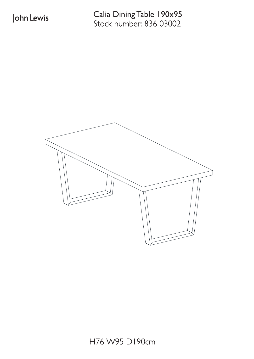Stock number: 836 03002 Calia Dining Table 190x95

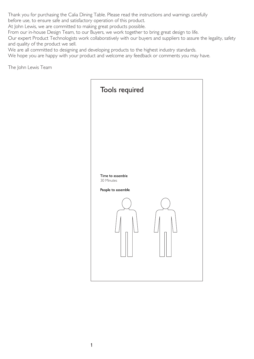Thank you for purchasing the Calia Dining Table. Please read the instructions and warnings carefully before use, to ensure safe and satisfactory operation of this product.

At John Lewis, we are committed to making great products possible.

From our in-house Design Team, to our Buyers, we work together to bring great design to life.

Our expert Product Technologists work collaboratively with our buyers and suppliers to assure the legality, safety and quality of the product we sell.

We are all committed to designing and developing products to the highest industry standards.

We hope you are happy with your product and welcome any feedback or comments you may have.

The John Lewis Team

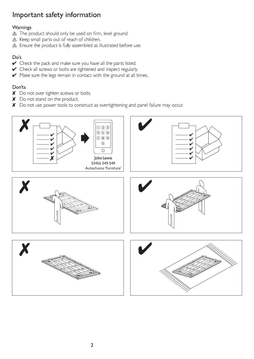## Important safety information

#### Warnings

- △ The product should only be used on firm, level ground.
- △ Keep small parts out of reach of children.
- △ Ensure the product is fully assembled as illustrated before use.

## Do's

- Check the pack and make sure you have all the parts listed.
- Check all screws or bolts are tightened and inspect regularly.
- Make sure the legs remain in contact with the ground at all times.

### Don'ts

- X Do not over tighten screws or bolts.
- X Do not stand on the product.
- X Do not use power tools to construct as overtightening and panel failure may occur.

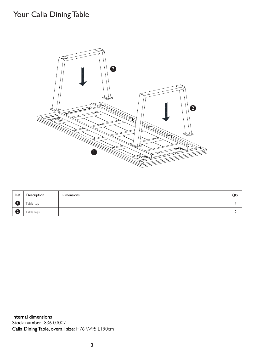# Your Calia Dining Table



| Ref          | Description | <b>Dimensions</b> | Qty    |
|--------------|-------------|-------------------|--------|
|              | Table top   |                   |        |
| $\mathbf{Q}$ | Table legs  |                   | ∽<br>∸ |

Internal dimensions Stock number: 836 03002 Calia Dining Table, overall size: H76 W95 L190cm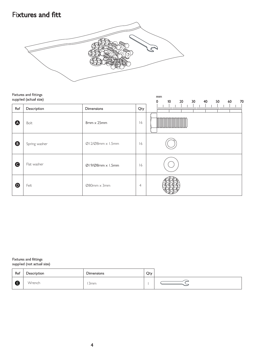## **Fixtures and fitt**



|                       | Fixtures and fittings<br>supplied (actual size) | mm<br>10 <sup>°</sup><br>30 <sub>o</sub><br>40<br>50<br>20 <sub>2</sub><br>60<br>70<br>0 |                |                                  |
|-----------------------|-------------------------------------------------|------------------------------------------------------------------------------------------|----------------|----------------------------------|
| Ref                   | Description                                     | Dimensions                                                                               | Qty            | խանավառնավառնակավառնավառնավառնակ |
| A                     | Bolt                                            | 8mm x 25mm                                                                               | 16             |                                  |
| $\boldsymbol{\Theta}$ | Spring washer                                   | $\emptyset$ 12/ $\emptyset$ 8mm x 1.5mm                                                  | 16             |                                  |
| $\bullet$             | Flat washer                                     | $\emptyset$ 19/ $\emptyset$ 8mm x 1.5mm                                                  | 16             |                                  |
| $\boldsymbol{\Theta}$ | Felt                                            | $\varnothing$ 80mm $\times$ 3mm                                                          | $\overline{4}$ |                                  |

Fixtures and fittings<br>supplied (not actual size)

| Ref | Description | <b>Dimensions</b> | Qty |  |
|-----|-------------|-------------------|-----|--|
| e   | Wrench      | 3 <sub>mm</sub>   |     |  |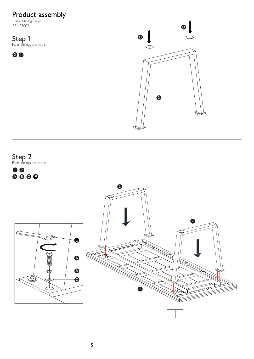# Product assembly<br>Calia Dining Table<br>836 03002

**Step 1**<br>Parts, fittings and tools

**00**